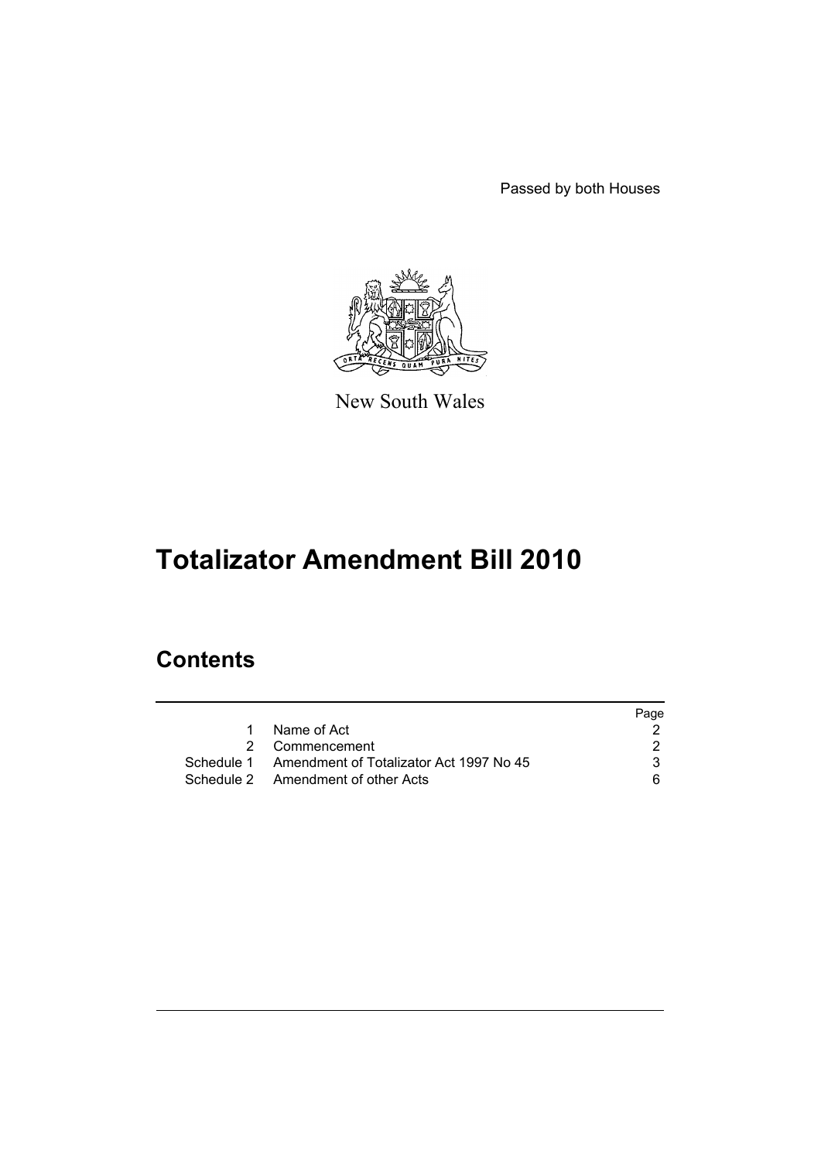Passed by both Houses



New South Wales

# **Totalizator Amendment Bill 2010**

# **Contents**

|                                                    | Page |
|----------------------------------------------------|------|
| Name of Act                                        |      |
| 2 Commencement                                     |      |
| Schedule 1 Amendment of Totalizator Act 1997 No 45 | 3.   |
| Schedule 2 Amendment of other Acts                 | 6.   |
|                                                    |      |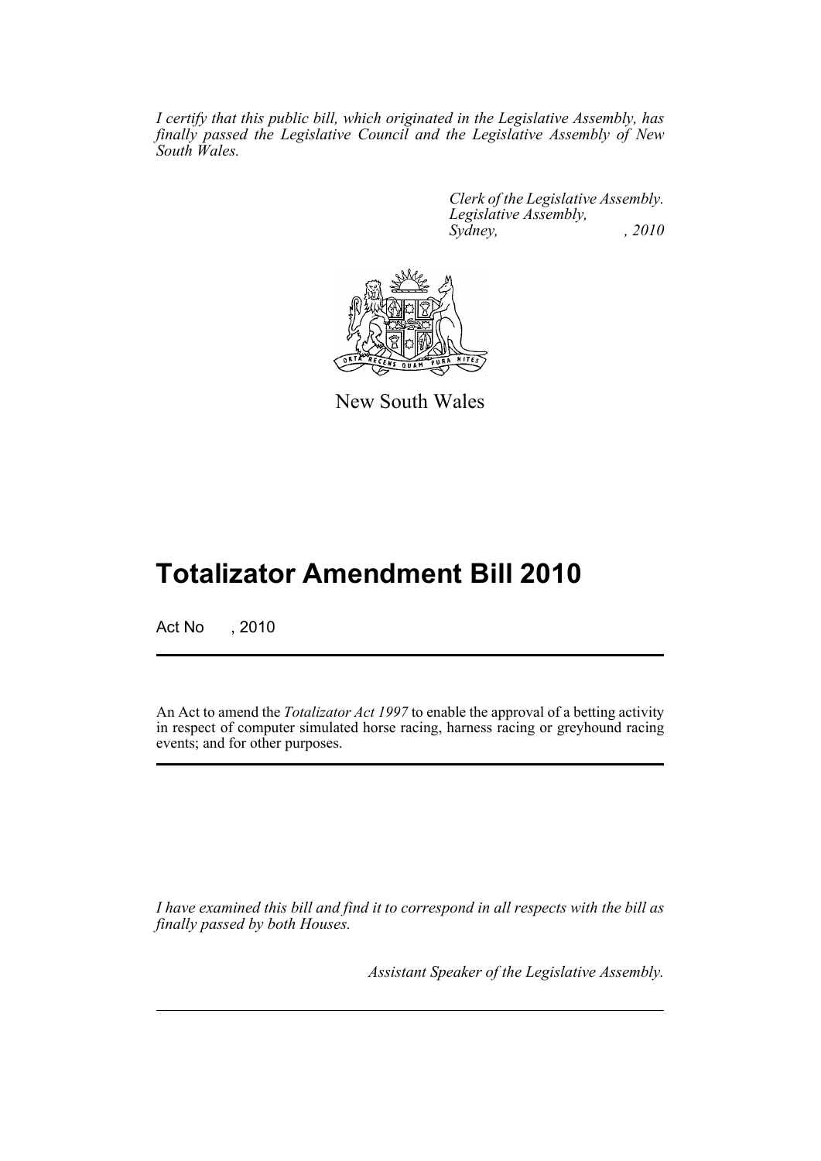*I certify that this public bill, which originated in the Legislative Assembly, has finally passed the Legislative Council and the Legislative Assembly of New South Wales.*

> *Clerk of the Legislative Assembly. Legislative Assembly, Sydney,* , 2010



New South Wales

# **Totalizator Amendment Bill 2010**

Act No , 2010

An Act to amend the *Totalizator Act 1997* to enable the approval of a betting activity in respect of computer simulated horse racing, harness racing or greyhound racing events; and for other purposes.

*I have examined this bill and find it to correspond in all respects with the bill as finally passed by both Houses.*

*Assistant Speaker of the Legislative Assembly.*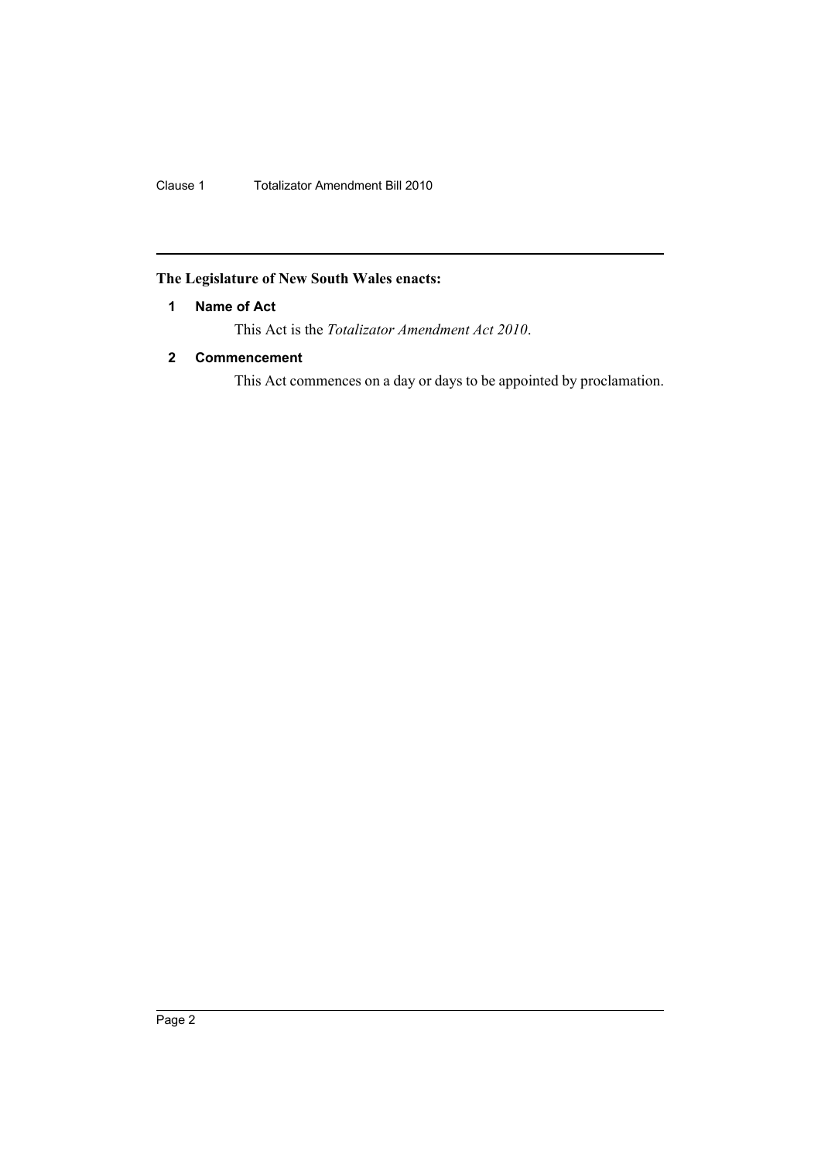Clause 1 Totalizator Amendment Bill 2010

# <span id="page-3-0"></span>**The Legislature of New South Wales enacts:**

# **1 Name of Act**

This Act is the *Totalizator Amendment Act 2010*.

# <span id="page-3-1"></span>**2 Commencement**

This Act commences on a day or days to be appointed by proclamation.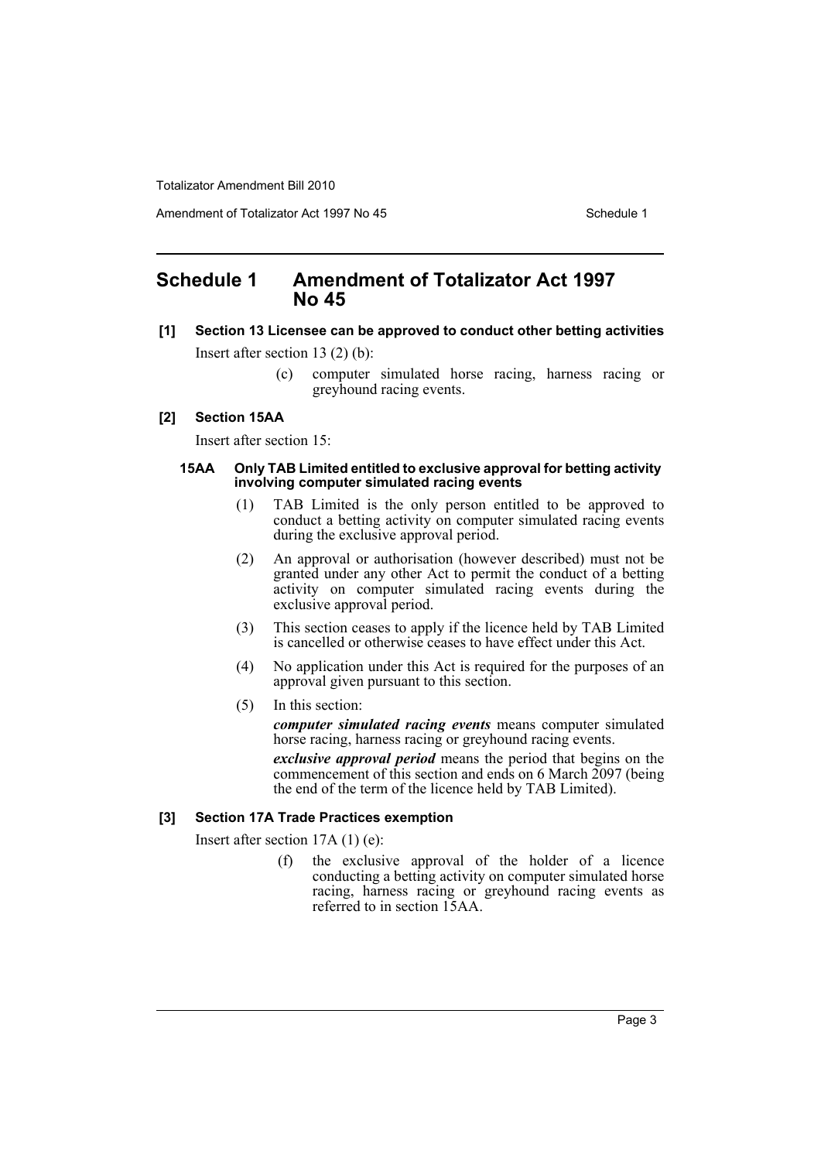Amendment of Totalizator Act 1997 No 45 Schedule 1

# <span id="page-4-0"></span>**Schedule 1 Amendment of Totalizator Act 1997 No 45**

**[1] Section 13 Licensee can be approved to conduct other betting activities**

Insert after section 13 (2) (b):

(c) computer simulated horse racing, harness racing or greyhound racing events.

### **[2] Section 15AA**

Insert after section 15:

#### **15AA Only TAB Limited entitled to exclusive approval for betting activity involving computer simulated racing events**

- (1) TAB Limited is the only person entitled to be approved to conduct a betting activity on computer simulated racing events during the exclusive approval period.
- (2) An approval or authorisation (however described) must not be granted under any other Act to permit the conduct of a betting activity on computer simulated racing events during the exclusive approval period.
- (3) This section ceases to apply if the licence held by TAB Limited is cancelled or otherwise ceases to have effect under this Act.
- (4) No application under this Act is required for the purposes of an approval given pursuant to this section.
- (5) In this section:

*computer simulated racing events* means computer simulated horse racing, harness racing or greyhound racing events.

*exclusive approval period* means the period that begins on the commencement of this section and ends on 6 March 2097 (being the end of the term of the licence held by TAB Limited).

## **[3] Section 17A Trade Practices exemption**

Insert after section 17A (1) (e):

(f) the exclusive approval of the holder of a licence conducting a betting activity on computer simulated horse racing, harness racing or greyhound racing events as referred to in section 15AA.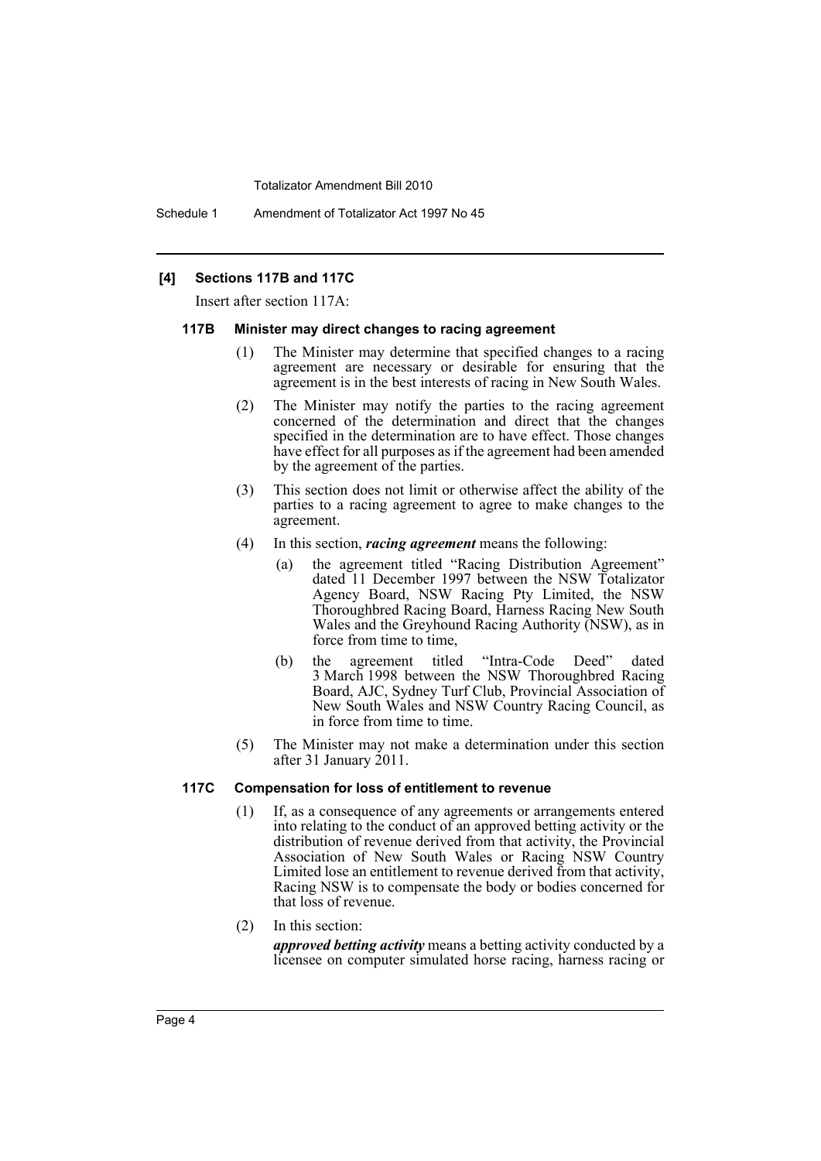Schedule 1 Amendment of Totalizator Act 1997 No 45

### **[4] Sections 117B and 117C**

Insert after section 117A:

#### **117B Minister may direct changes to racing agreement**

- (1) The Minister may determine that specified changes to a racing agreement are necessary or desirable for ensuring that the agreement is in the best interests of racing in New South Wales.
- (2) The Minister may notify the parties to the racing agreement concerned of the determination and direct that the changes specified in the determination are to have effect. Those changes have effect for all purposes as if the agreement had been amended by the agreement of the parties.
- (3) This section does not limit or otherwise affect the ability of the parties to a racing agreement to agree to make changes to the agreement.
- (4) In this section, *racing agreement* means the following:
	- (a) the agreement titled "Racing Distribution Agreement" dated 11 December 1997 between the NSW Totalizator Agency Board, NSW Racing Pty Limited, the NSW Thoroughbred Racing Board, Harness Racing New South Wales and the Greyhound Racing Authority (NSW), as in force from time to time,
	- (b) the agreement titled "Intra-Code Deed" dated 3 March 1998 between the NSW Thoroughbred Racing Board, AJC, Sydney Turf Club, Provincial Association of New South Wales and NSW Country Racing Council, as in force from time to time.
- (5) The Minister may not make a determination under this section after 31 January 2011.

#### **117C Compensation for loss of entitlement to revenue**

- (1) If, as a consequence of any agreements or arrangements entered into relating to the conduct of an approved betting activity or the distribution of revenue derived from that activity, the Provincial Association of New South Wales or Racing NSW Country Limited lose an entitlement to revenue derived from that activity, Racing NSW is to compensate the body or bodies concerned for that loss of revenue.
- (2) In this section:

*approved betting activity* means a betting activity conducted by a licensee on computer simulated horse racing, harness racing or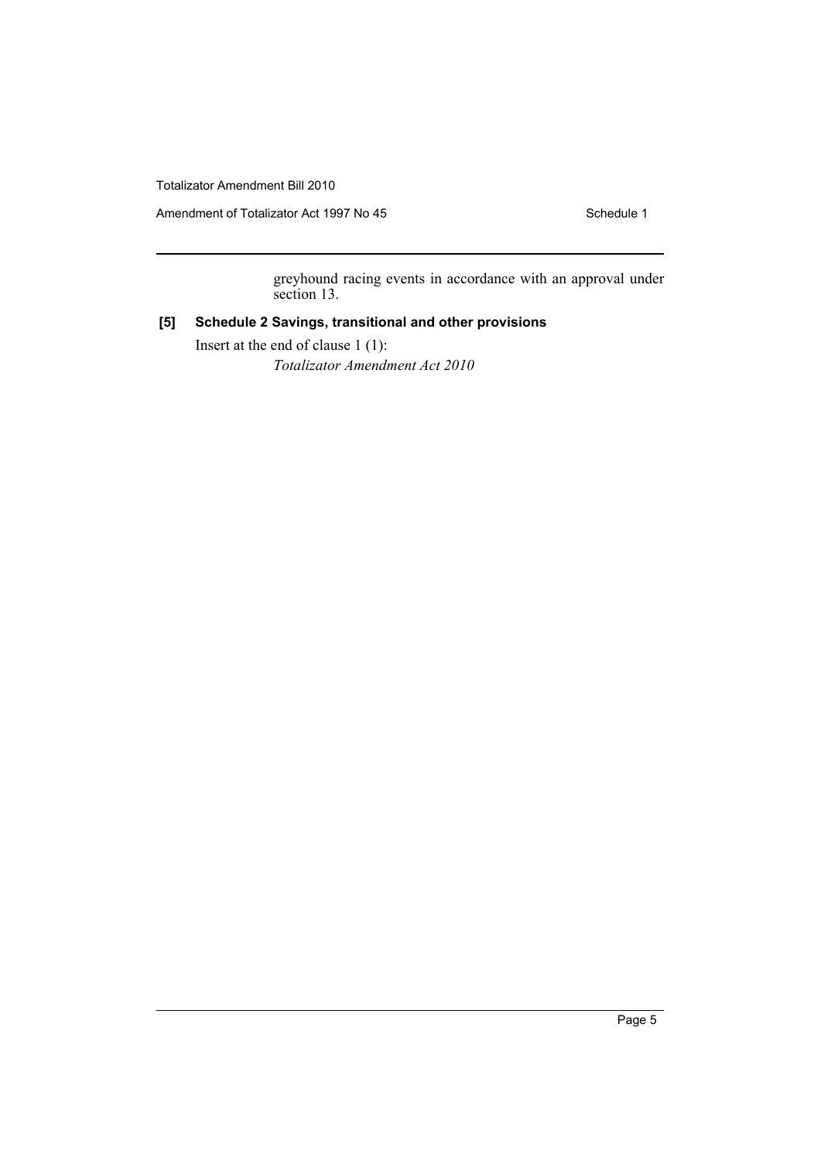Amendment of Totalizator Act 1997 No 45 Schedule 1

greyhound racing events in accordance with an approval under section 13.

# **[5] Schedule 2 Savings, transitional and other provisions**

Insert at the end of clause 1 (1): *Totalizator Amendment Act 2010*